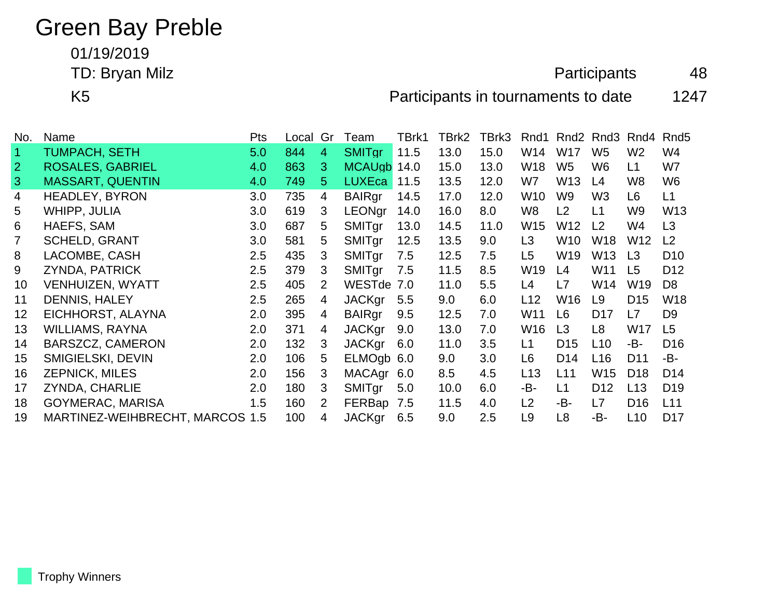## Green Bay Preble

01/19/2019

TD: Bryan Milz **Alternative Contract Contract Contract Contract Contract Contract Contract Contract Contract Contract Contract Contract Contract Contract Contract Contract Contract Contract Contract Contract Contract Contr** 

K5 **Participants in tournaments to date** 1247

| No.            | Name                            | <b>Pts</b> | Local | Gr             | Team          | TBrk1 | TBrk2 | TBrk3 | Rnd1            |                 | Rnd <sub>2</sub> Rnd <sub>3</sub> | Rnd4            | Rnd <sub>5</sub> |
|----------------|---------------------------------|------------|-------|----------------|---------------|-------|-------|-------|-----------------|-----------------|-----------------------------------|-----------------|------------------|
| 47             | TUMPACH, SETH                   | 5.0        | 844   | $\overline{4}$ | <b>SMITgr</b> | 11.5  | 13.0  | 15.0  | W14             | <b>W17</b>      | W <sub>5</sub>                    | W <sub>2</sub>  | W4               |
| $\overline{2}$ | <b>ROSALES, GABRIEL</b>         | 4.0        | 863   | 3              | <b>MCAUgb</b> | 14.0  | 15.0  | 13.0  | W18             | W <sub>5</sub>  | W6                                | L1              | W7               |
| $\mathbf{3}$   | <b>MASSART, QUENTIN</b>         | 4.0        | 749   | 5.             | <b>LUXEca</b> | 11.5  | 13.5  | 12.0  | W7              | W <sub>13</sub> | L4                                | W <sub>8</sub>  | W <sub>6</sub>   |
| 4              | <b>HEADLEY, BYRON</b>           | 3.0        | 735   | 4              | <b>BAIRgr</b> | 14.5  | 17.0  | 12.0  | W <sub>10</sub> | W <sub>9</sub>  | W <sub>3</sub>                    | L <sub>6</sub>  | L1               |
| 5              | WHIPP, JULIA                    | 3.0        | 619   | 3              | <b>LEONgr</b> | 14.0  | 16.0  | 8.0   | W8              | L2              | L1                                | W <sub>9</sub>  | W <sub>13</sub>  |
| 6              | HAEFS, SAM                      | 3.0        | 687   | 5              | SMITgr        | 13.0  | 14.5  | 11.0  | W <sub>15</sub> | W12             | L2                                | W4              | L <sub>3</sub>   |
| $\overline{7}$ | <b>SCHELD, GRANT</b>            | 3.0        | 581   | 5              | SMITgr        | 12.5  | 13.5  | 9.0   | L <sub>3</sub>  | W <sub>10</sub> | W18                               | W <sub>12</sub> | L2               |
| 8              | LACOMBE, CASH                   | $2.5\,$    | 435   | 3              | SMITgr        | 7.5   | 12.5  | 7.5   | L <sub>5</sub>  | W <sub>19</sub> | W13                               | L <sub>3</sub>  | D <sub>10</sub>  |
| 9              | ZYNDA, PATRICK                  | 2.5        | 379   | 3              | SMITgr        | 7.5   | 11.5  | 8.5   | W19             | L4              | W11                               | L5              | D <sub>12</sub>  |
| 10             | <b>VENHUIZEN, WYATT</b>         | 2.5        | 405   | 2              | WESTde        | 7.0   | 11.0  | 5.5   | L4              | L7              | W14                               | W19             | D <sub>8</sub>   |
| 11             | <b>DENNIS, HALEY</b>            | 2.5        | 265   | 4              | <b>JACKgr</b> | 5.5   | 9.0   | 6.0   | L12             | W <sub>16</sub> | L9                                | D <sub>15</sub> | W18              |
| 12             | EICHHORST, ALAYNA               | 2.0        | 395   | 4              | <b>BAIRgr</b> | 9.5   | 12.5  | 7.0   | W <sub>11</sub> | L6              | D <sub>17</sub>                   | L7              | D <sub>9</sub>   |
| 13             | WILLIAMS, RAYNA                 | 2.0        | 371   | 4              | <b>JACKgr</b> | 9.0   | 13.0  | 7.0   | W <sub>16</sub> | L <sub>3</sub>  | L8                                | W17             | L <sub>5</sub>   |
| 14             | BARSZCZ, CAMERON                | 2.0        | 132   | 3              | <b>JACKgr</b> | 6.0   | 11.0  | 3.5   | L1              | D <sub>15</sub> | L10                               | -B-             | D <sub>16</sub>  |
| 15             | <b>SMIGIELSKI, DEVIN</b>        | 2.0        | 106   | 5              | ELMOgb 6.0    |       | 9.0   | 3.0   | L6              | D <sub>14</sub> | L16                               | D <sub>11</sub> | -B-              |
| 16             | <b>ZEPNICK, MILES</b>           | 2.0        | 156   | 3              | <b>MACAgr</b> | 6.0   | 8.5   | 4.5   | L <sub>13</sub> | L11             | W15                               | D <sub>18</sub> | D <sub>14</sub>  |
| 17             | <b>ZYNDA, CHARLIE</b>           | 2.0        | 180   | 3              | SMITgr        | 5.0   | 10.0  | 6.0   | -В-             | L1              | D <sub>12</sub>                   | L13             | D <sub>19</sub>  |
| 18             | <b>GOYMERAC, MARISA</b>         | 1.5        | 160   | 2              | FERBap        | 7.5   | 11.5  | 4.0   | L2              | -B-             | L7                                | D <sub>16</sub> | L11              |
| 19             | MARTINEZ-WEIHBRECHT, MARCOS 1.5 |            | 100   | 4              | <b>JACKgr</b> | 6.5   | 9.0   | 2.5   | L <sub>9</sub>  | L8              | -B-                               | L <sub>10</sub> | D <sub>17</sub>  |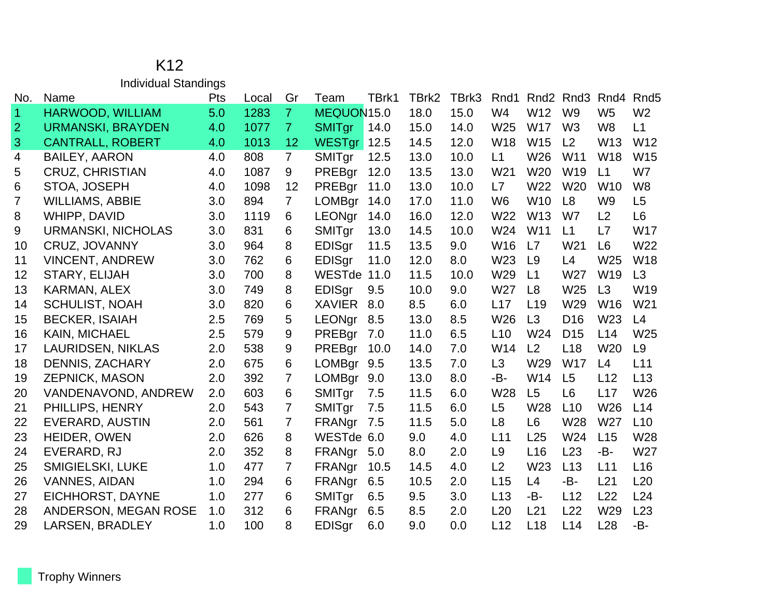## K12 Individual Standings

| No.                  | Name                      | Pts | Local | Gr             | Team          | TBrk1 | TBrk2 | TBrk3 | Rnd1            |                 | Rnd <sub>2</sub> Rnd <sub>3</sub> | Rnd4            | Rnd <sub>5</sub> |
|----------------------|---------------------------|-----|-------|----------------|---------------|-------|-------|-------|-----------------|-----------------|-----------------------------------|-----------------|------------------|
| $\blacktriangleleft$ | HARWOOD, WILLIAM          | 5.0 | 1283  | $\overline{7}$ | MEQUON15.0    |       | 18.0  | 15.0  | W <sub>4</sub>  | W12             | W <sub>9</sub>                    | W <sub>5</sub>  | W <sub>2</sub>   |
| $\overline{2}$       | <b>URMANSKI, BRAYDEN</b>  | 4.0 | 1077  | $\overline{7}$ | <b>SMITgr</b> | 14.0  | 15.0  | 14.0  | W25             | <b>W17</b>      | W <sub>3</sub>                    | W <sub>8</sub>  | L1               |
| 3                    | <b>CANTRALL, ROBERT</b>   | 4.0 | 1013  | 12             | <b>WESTgr</b> | 12.5  | 14.5  | 12.0  | W <sub>18</sub> | W15             | L2                                | W <sub>13</sub> | W12              |
| $\overline{4}$       | <b>BAILEY, AARON</b>      | 4.0 | 808   | $\overline{7}$ | SMITgr        | 12.5  | 13.0  | 10.0  | L1              | W26             | W11                               | <b>W18</b>      | W15              |
| 5                    | <b>CRUZ, CHRISTIAN</b>    | 4.0 | 1087  | 9              | PREBgr        | 12.0  | 13.5  | 13.0  | W <sub>21</sub> | W20             | W19                               | L1              | W7               |
| 6                    | STOA, JOSEPH              | 4.0 | 1098  | 12             | PREBgr        | 11.0  | 13.0  | 10.0  | L7              | W22             | W <sub>20</sub>                   | W <sub>10</sub> | W <sub>8</sub>   |
| 7                    | <b>WILLIAMS, ABBIE</b>    | 3.0 | 894   | $\overline{7}$ | <b>LOMBgr</b> | 14.0  | 17.0  | 11.0  | W <sub>6</sub>  | <b>W10</b>      | L <sub>8</sub>                    | W <sub>9</sub>  | L <sub>5</sub>   |
| 8                    | WHIPP, DAVID              | 3.0 | 1119  | 6              | <b>LEONgr</b> | 14.0  | 16.0  | 12.0  | W22             | W <sub>13</sub> | W7                                | L2              | L <sub>6</sub>   |
| 9                    | <b>URMANSKI, NICHOLAS</b> | 3.0 | 831   | 6              | SMITgr        | 13.0  | 14.5  | 10.0  | W24             | W11             | L1                                | L7              | <b>W17</b>       |
| 10                   | CRUZ, JOVANNY             | 3.0 | 964   | 8              | EDISgr        | 11.5  | 13.5  | 9.0   | W16             | L7              | W21                               | L6              | W22              |
| 11                   | <b>VINCENT, ANDREW</b>    | 3.0 | 762   | 6              | EDISgr        | 11.0  | 12.0  | 8.0   | W23             | L9              | L4                                | W <sub>25</sub> | W18              |
| 12                   | STARY, ELIJAH             | 3.0 | 700   | 8              | WESTde 11.0   |       | 11.5  | 10.0  | W29             | L1              | W27                               | W19             | L3               |
| 13                   | KARMAN, ALEX              | 3.0 | 749   | 8              | <b>EDISgr</b> | 9.5   | 10.0  | 9.0   | W27             | L8              | W25                               | L3              | W19              |
| 14                   | <b>SCHULIST, NOAH</b>     | 3.0 | 820   | 6              | <b>XAVIER</b> | 8.0   | 8.5   | 6.0   | L17             | L <sub>19</sub> | W29                               | W <sub>16</sub> | W21              |
| 15                   | <b>BECKER, ISAIAH</b>     | 2.5 | 769   | 5              | LEONgr        | 8.5   | 13.0  | 8.5   | W26             | L3              | D <sub>16</sub>                   | W23             | L4               |
| 16                   | <b>KAIN, MICHAEL</b>      | 2.5 | 579   | 9              | PREBgr        | 7.0   | 11.0  | 6.5   | L10             | W24             | D <sub>15</sub>                   | L14             | W <sub>25</sub>  |
| 17                   | <b>LAURIDSEN, NIKLAS</b>  | 2.0 | 538   | 9              | PREBgr        | 10.0  | 14.0  | 7.0   | W14             | L2              | L <sub>18</sub>                   | W <sub>20</sub> | L <sub>9</sub>   |
| 18                   | <b>DENNIS, ZACHARY</b>    | 2.0 | 675   | 6              | <b>LOMBgr</b> | 9.5   | 13.5  | 7.0   | L <sub>3</sub>  | W29             | <b>W17</b>                        | L4              | L11              |
| 19                   | ZEPNICK, MASON            | 2.0 | 392   | 7              | LOMBgr        | 9.0   | 13.0  | 8.0   | -B-             | W14             | L5                                | L12             | L13              |
| 20                   | VANDENAVOND, ANDREW       | 2.0 | 603   | 6              | SMITgr        | 7.5   | 11.5  | 6.0   | W28             | L <sub>5</sub>  | L <sub>6</sub>                    | L17             | W26              |
| 21                   | PHILLIPS, HENRY           | 2.0 | 543   | 7              | SMITgr        | 7.5   | 11.5  | 6.0   | L5              | W28             | L10                               | W26             | L14              |
| 22                   | <b>EVERARD, AUSTIN</b>    | 2.0 | 561   | 7              | FRANgr        | 7.5   | 11.5  | 5.0   | L <sub>8</sub>  | L <sub>6</sub>  | W28                               | W27             | L10              |
| 23                   | HEIDER, OWEN              | 2.0 | 626   | 8              | WESTde 6.0    |       | 9.0   | 4.0   | L11             | L25             | W24                               | L15             | W28              |
| 24                   | EVERARD, RJ               | 2.0 | 352   | 8              | FRANgr        | 5.0   | 8.0   | 2.0   | L9              | L16             | L23                               | -B-             | W27              |
| 25                   | <b>SMIGIELSKI, LUKE</b>   | 1.0 | 477   | 7              | FRANgr        | 10.5  | 14.5  | 4.0   | L <sub>2</sub>  | W <sub>23</sub> | L13                               | L11             | L16              |
| 26                   | <b>VANNES, AIDAN</b>      | 1.0 | 294   | 6              | FRANgr        | 6.5   | 10.5  | 2.0   | L15             | L4              | -B-                               | L21             | L20              |
| 27                   | EICHHORST, DAYNE          | 1.0 | 277   | 6              | SMITgr        | 6.5   | 9.5   | 3.0   | L13             | -B-             | L12                               | L22             | L24              |
| 28                   | ANDERSON, MEGAN ROSE      | 1.0 | 312   | 6              | FRANgr        | 6.5   | 8.5   | 2.0   | L20             | L21             | L22                               | W29             | L23              |
| 29                   | <b>LARSEN, BRADLEY</b>    | 1.0 | 100   | 8              | <b>EDISgr</b> | 6.0   | 9.0   | 0.0   | L12             | L18             | L14                               | L <sub>28</sub> | -B-              |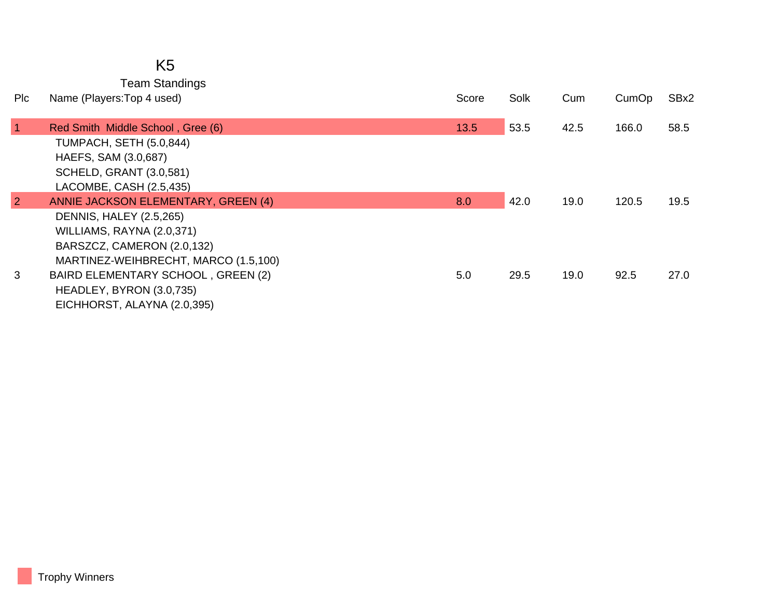## K5

Team Standings

| Plc            | Name (Players: Top 4 used)           | Score | Solk | Cum  | CumOp | SBx2 |
|----------------|--------------------------------------|-------|------|------|-------|------|
| $\vert$ 1      | Red Smith Middle School, Gree (6)    | 13.5  | 53.5 | 42.5 | 166.0 | 58.5 |
|                | <b>TUMPACH, SETH (5.0,844)</b>       |       |      |      |       |      |
|                | HAEFS, SAM (3.0,687)                 |       |      |      |       |      |
|                | <b>SCHELD, GRANT (3.0,581)</b>       |       |      |      |       |      |
|                | LACOMBE, CASH (2.5,435)              |       |      |      |       |      |
| $\overline{2}$ | ANNIE JACKSON ELEMENTARY, GREEN (4)  | 8.0   | 42.0 | 19.0 | 120.5 | 19.5 |
|                | <b>DENNIS, HALEY (2.5,265)</b>       |       |      |      |       |      |
|                | WILLIAMS, RAYNA (2.0,371)            |       |      |      |       |      |
|                | BARSZCZ, CAMERON (2.0,132)           |       |      |      |       |      |
|                | MARTINEZ-WEIHBRECHT, MARCO (1.5,100) |       |      |      |       |      |
| 3              | BAIRD ELEMENTARY SCHOOL, GREEN (2)   | 5.0   | 29.5 | 19.0 | 92.5  | 27.0 |
|                | HEADLEY, BYRON (3.0,735)             |       |      |      |       |      |
|                | EICHHORST, ALAYNA (2.0,395)          |       |      |      |       |      |